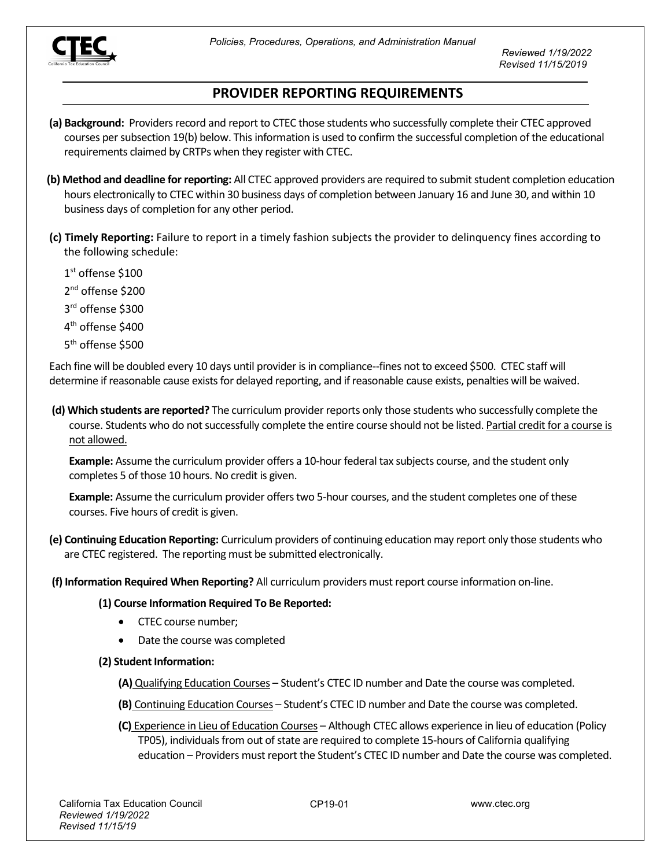

*Reviewed 1/19/2022 Revised 11/15/2019*

## **PROVIDER REPORTING REQUIREMENTS**

- **(a) Background:** Providers record and report to CTEC those students who successfully complete their CTEC approved courses per subsection 19(b) below. This information is used to confirm the successful completion of the educational requirements claimed by CRTPs when they register with CTEC.
- **(b) Method and deadline for reporting:** All CTEC approved providers are required to submit student completion education hours electronically to CTEC within 30 business days of completion between January 16 and June 30, and within 10 business days of completion for any other period.
- **(c) Timely Reporting:** Failure to report in a timely fashion subjects the provider to delinquency fines according to the following schedule:
	- 1st offense \$100
	- 2<sup>nd</sup> offense \$200
	- 3rd offense \$300
	- 4th offense \$400
	- 5<sup>th</sup> offense \$500

Each fine will be doubled every 10 days until provider is in compliance--fines not to exceed \$500. CTEC staff will determine if reasonable cause exists for delayed reporting, and if reasonable cause exists, penalties will be waived.

**(d) Which students are reported?** The curriculum provider reports only those students who successfully complete the course. Students who do not successfully complete the entire course should not be listed. Partial credit for a course is not allowed.

**Example:** Assume the curriculum provider offers a 10-hour federal tax subjects course, and the student only completes 5 of those 10 hours. No credit is given.

**Example:** Assume the curriculum provider offers two 5-hour courses, and the student completes one of these courses. Five hours of credit is given.

**(e) Continuing Education Reporting:** Curriculum providers of continuing education may report only those students who are CTEC registered. The reporting must be submitted electronically.

**(f) Information Required When Reporting?** All curriculum providers must report course information on-line.

## **(1) Course Information Required To Be Reported:**

- CTEC course number;
- Date the course was completed
- **(2) Student Information:**

**(A)** Qualifying Education Courses – Student's CTEC ID number and Date the course was completed.

- **(B)** Continuing Education Courses Student's CTEC ID number and Date the course was completed.
- **(C)** Experience in Lieu of Education Courses Although CTEC allows experience in lieu of education (Policy TP05), individuals from out of state are required to complete 15-hours of California qualifying education – Providers must report the Student's CTEC ID number and Date the course was completed.